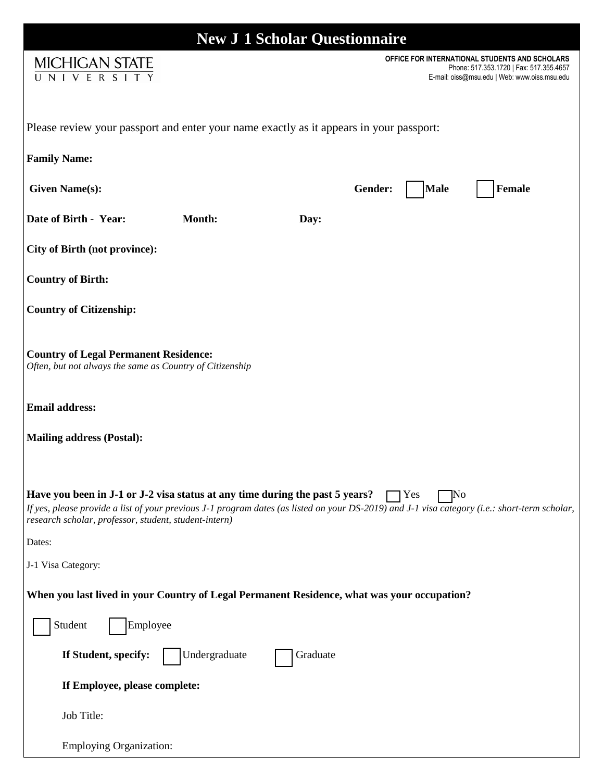| <b>New J 1 Scholar Questionnaire</b>                                                                                                                                                                                                                                                                        |                                                                                                                                           |  |
|-------------------------------------------------------------------------------------------------------------------------------------------------------------------------------------------------------------------------------------------------------------------------------------------------------------|-------------------------------------------------------------------------------------------------------------------------------------------|--|
| <b>MICHIGAN STATE</b><br>UNIVERSITY                                                                                                                                                                                                                                                                         | OFFICE FOR INTERNATIONAL STUDENTS AND SCHOLARS<br>Phone: 517.353.1720   Fax: 517.355.4657<br>E-mail: oiss@msu.edu   Web: www.oiss.msu.edu |  |
| Please review your passport and enter your name exactly as it appears in your passport:                                                                                                                                                                                                                     |                                                                                                                                           |  |
| <b>Family Name:</b>                                                                                                                                                                                                                                                                                         |                                                                                                                                           |  |
| <b>Given Name(s):</b>                                                                                                                                                                                                                                                                                       | Gender:<br><b>Male</b><br>Female                                                                                                          |  |
| Date of Birth - Year:<br><b>Month:</b>                                                                                                                                                                                                                                                                      | Day:                                                                                                                                      |  |
| <b>City of Birth (not province):</b>                                                                                                                                                                                                                                                                        |                                                                                                                                           |  |
| <b>Country of Birth:</b>                                                                                                                                                                                                                                                                                    |                                                                                                                                           |  |
| <b>Country of Citizenship:</b>                                                                                                                                                                                                                                                                              |                                                                                                                                           |  |
| <b>Country of Legal Permanent Residence:</b><br>Often, but not always the same as Country of Citizenship                                                                                                                                                                                                    |                                                                                                                                           |  |
| <b>Email address:</b>                                                                                                                                                                                                                                                                                       |                                                                                                                                           |  |
| <b>Mailing address (Postal):</b>                                                                                                                                                                                                                                                                            |                                                                                                                                           |  |
| Have you been in J-1 or J-2 visa status at any time during the past 5 years?<br>$\Box$ Yes<br>'Nо<br>If yes, please provide a list of your previous J-1 program dates (as listed on your DS-2019) and J-1 visa category (i.e.: short-term scholar,<br>research scholar, professor, student, student-intern) |                                                                                                                                           |  |
| Dates:                                                                                                                                                                                                                                                                                                      |                                                                                                                                           |  |
| J-1 Visa Category:                                                                                                                                                                                                                                                                                          |                                                                                                                                           |  |
| When you last lived in your Country of Legal Permanent Residence, what was your occupation?                                                                                                                                                                                                                 |                                                                                                                                           |  |
| Employee<br>Student                                                                                                                                                                                                                                                                                         |                                                                                                                                           |  |
| If Student, specify:<br>Undergraduate                                                                                                                                                                                                                                                                       | Graduate                                                                                                                                  |  |
| If Employee, please complete:                                                                                                                                                                                                                                                                               |                                                                                                                                           |  |
| Job Title:                                                                                                                                                                                                                                                                                                  |                                                                                                                                           |  |
| <b>Employing Organization:</b>                                                                                                                                                                                                                                                                              |                                                                                                                                           |  |